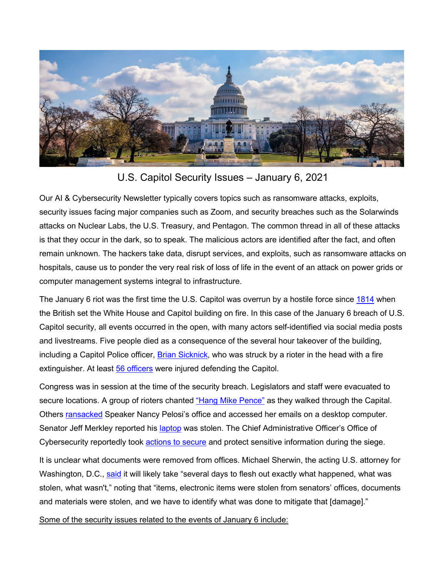

U.S. Capitol Security Issues – January 6, 2021

Our AI & Cybersecurity Newsletter typically covers topics such as ransomware attacks, exploits, security issues facing major companies such as Zoom, and security breaches such as the Solarwinds attacks on Nuclear Labs, the U.S. Treasury, and Pentagon. The common thread in all of these attacks is that they occur in the dark, so to speak. The malicious actors are identified after the fact, and often remain unknown. The hackers take data, disrupt services, and exploits, such as ransomware attacks on hospitals, cause us to ponder the very real risk of loss of life in the event of an attack on power grids or computer management systems integral to infrastructure.

The January 6 riot was the first time the U.S. Capitol was overrun by a hostile force since [1814](https://en.wikipedia.org/wiki/Burning_of_Washington) when the British set the White House and Capitol building on fire. In this case of the January 6 breach of U.S. Capitol security, all events occurred in the open, with many actors self-identified via social media posts and livestreams. Five people died as a consequence of the several hour takeover of the building, including a Capitol Police officer, [Brian Sicknick,](https://www.npr.org/sections/congress-electoral-college-tally-live-updates/2021/01/07/954333542/police-confirm-death-of-officer-injured-during-attack-on-capitol) who was struck by a rioter in the head with a fire extinguisher. At least [56 officers](https://www.opb.org/article/2021/01/07/4-dead-police-injured-dozens-arrested-after-siege-us-capitol/) were injured defending the Capitol.

Congress was in session at the time of the security breach. Legislators and staff were evacuated to secure locations. A group of rioters chanted ["Hang Mike Pence"](https://www.dailymail.co.uk/news/article-9127971/Trump-mob-wanted-hang-Mike-Pence-tree-riot-says-photographer.html) as they walked through the Capital. Others [ransacked](https://news.yahoo.com/pelosis-office-damaged-during-riot-062400057.html) Speaker Nancy Pelosi's office and accessed her emails on a desktop computer. Senator Jeff Merkley reported his [laptop](https://thehill.com/homenews/senate/533162-merkley-says-capitol-rioters-stole-laptop-from-his-office) was stolen. The Chief Administrative Officer's Office of Cybersecurity reportedly took [actions to secure](https://twitter.com/ericgeller/status/1347303258180751364/photo/1) and protect sensitive information during the siege.

It is unclear what documents were removed from offices. Michael Sherwin, the acting U.S. attorney for Washington, D.C., [said](https://www.politico.com/news/2021/01/07/capitol-hill-riots-doj-456178) it will likely take "several days to flesh out exactly what happened, what was stolen, what wasn't," noting that "items, electronic items were stolen from senators' offices, documents and materials were stolen, and we have to identify what was done to mitigate that [damage]."

Some of the security issues related to the events of January 6 include: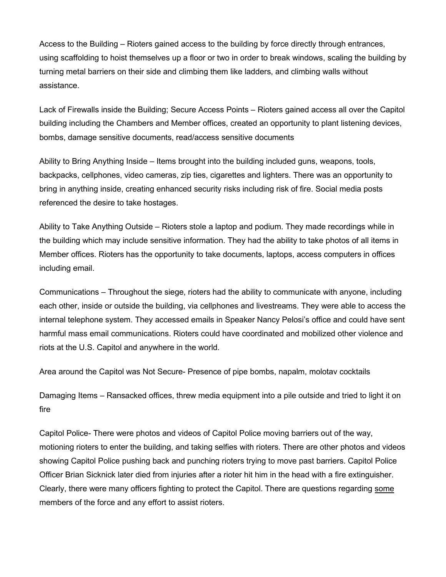Access to the Building – Rioters gained access to the building by force directly through entrances, using scaffolding to hoist themselves up a floor or two in order to break windows, scaling the building by turning metal barriers on their side and climbing them like ladders, and climbing walls without assistance.

Lack of Firewalls inside the Building; Secure Access Points – Rioters gained access all over the Capitol building including the Chambers and Member offices, created an opportunity to plant listening devices, bombs, damage sensitive documents, read/access sensitive documents

Ability to Bring Anything Inside – Items brought into the building included guns, weapons, tools, backpacks, cellphones, video cameras, zip ties, cigarettes and lighters. There was an opportunity to bring in anything inside, creating enhanced security risks including risk of fire. Social media posts referenced the desire to take hostages.

Ability to Take Anything Outside – Rioters stole a laptop and podium. They made recordings while in the building which may include sensitive information. They had the ability to take photos of all items in Member offices. Rioters has the opportunity to take documents, laptops, access computers in offices including email.

Communications – Throughout the siege, rioters had the ability to communicate with anyone, including each other, inside or outside the building, via cellphones and livestreams. They were able to access the internal telephone system. They accessed emails in Speaker Nancy Pelosi's office and could have sent harmful mass email communications. Rioters could have coordinated and mobilized other violence and riots at the U.S. Capitol and anywhere in the world.

Area around the Capitol was Not Secure- Presence of pipe bombs, napalm, molotav cocktails

Damaging Items – Ransacked offices, threw media equipment into a pile outside and tried to light it on fire

Capitol Police- There were photos and videos of Capitol Police moving barriers out of the way, motioning rioters to enter the building, and taking selfies with rioters. There are other photos and videos showing Capitol Police pushing back and punching rioters trying to move past barriers. Capitol Police Officer Brian Sicknick later died from injuries after a rioter hit him in the head with a fire extinguisher. Clearly, there were many officers fighting to protect the Capitol. There are questions regarding some members of the force and any effort to assist rioters.